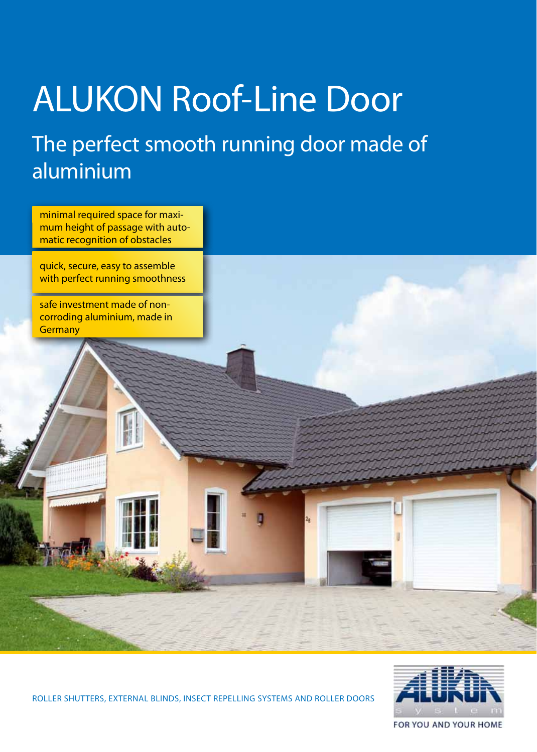# ALUKON Roof-Line Door

The perfect smooth running door made of aluminium

minimal required space for maximum height of passage with automatic recognition of obstacles

quick, secure, easy to assemble with perfect running smoothness

safe investment made of noncorroding aluminium, made in **Germany** 





FOR YOU AND YOUR HOME